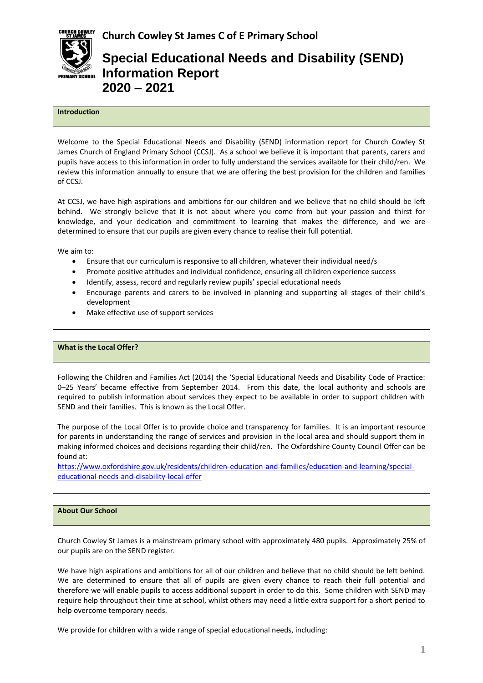

# **Special Educational Needs and Disability (SEND) Information Report 2020 – 2021**

## **Introduction**

Welcome to the Special Educational Needs and Disability (SEND) information report for Church Cowley St James Church of England Primary School (CCSJ). As a school we believe it is important that parents, carers and pupils have access to this information in order to fully understand the services available for their child/ren. We review this information annually to ensure that we are offering the best provision for the children and families of CCSJ.

At CCSJ, we have high aspirations and ambitions for our children and we believe that no child should be left behind. We strongly believe that it is not about where you come from but your passion and thirst for knowledge, and your dedication and commitment to learning that makes the difference, and we are determined to ensure that our pupils are given every chance to realise their full potential.

We aim to:

- Ensure that our curriculum is responsive to all children, whatever their individual need/s
- Promote positive attitudes and individual confidence, ensuring all children experience success
- Identify, assess, record and regularly review pupils' special educational needs
- Encourage parents and carers to be involved in planning and supporting all stages of their child's development
- Make effective use of support services

#### **What is the Local Offer?**

Following the Children and Families Act (2014) the 'Special Educational Needs and Disability Code of Practice: 0–25 Years' became effective from September 2014. From this date, the local authority and schools are required to publish information about services they expect to be available in order to support children with SEND and their families. This is known as the Local Offer.

The purpose of the Local Offer is to provide choice and transparency for families. It is an important resource for parents in understanding the range of services and provision in the local area and should support them in making informed choices and decisions regarding their child/ren. The Oxfordshire County Council Offer can be found at:

[https://www.oxfordshire.gov.uk/residents/children-education-and-families/education-and-learning/special](https://www.oxfordshire.gov.uk/residents/children-education-and-families/education-and-learning/special-educational-needs-and-disability-local-offer)[educational-needs-and-disability-local-offer](https://www.oxfordshire.gov.uk/residents/children-education-and-families/education-and-learning/special-educational-needs-and-disability-local-offer)

#### **About Our School**

Church Cowley St James is a mainstream primary school with approximately 480 pupils. Approximately 25% of our pupils are on the SEND register.

We have high aspirations and ambitions for all of our children and believe that no child should be left behind. We are determined to ensure that all of pupils are given every chance to reach their full potential and therefore we will enable pupils to access additional support in order to do this. Some children with SEND may require help throughout their time at school, whilst others may need a little extra support for a short period to help overcome temporary needs.

We provide for children with a wide range of special educational needs, including: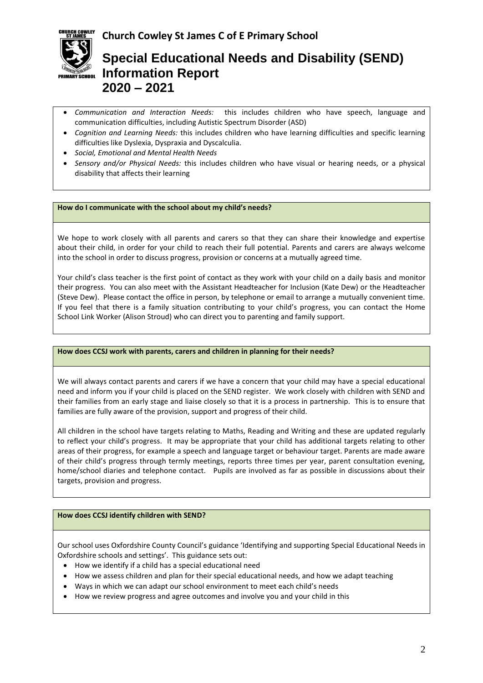

# **Special Educational Needs and Disability (SEND) Information Report 2020 – 2021**

- *Communication and Interaction Needs:* this includes children who have speech, language and communication difficulties, including Autistic Spectrum Disorder (ASD)
- *Cognition and Learning Needs:* this includes children who have learning difficulties and specific learning difficulties like Dyslexia, Dyspraxia and Dyscalculia.
- *Social, Emotional and Mental Health Needs*
- *Sensory and/or Physical Needs:* this includes children who have visual or hearing needs, or a physical disability that affects their learning

### **How do I communicate with the school about my child's needs?**

We hope to work closely with all parents and carers so that they can share their knowledge and expertise about their child, in order for your child to reach their full potential. Parents and carers are always welcome into the school in order to discuss progress, provision or concerns at a mutually agreed time.

Your child's class teacher is the first point of contact as they work with your child on a daily basis and monitor their progress. You can also meet with the Assistant Headteacher for Inclusion (Kate Dew) or the Headteacher (Steve Dew). Please contact the office in person, by telephone or email to arrange a mutually convenient time. If you feel that there is a family situation contributing to your child's progress, you can contact the Home School Link Worker (Alison Stroud) who can direct you to parenting and family support.

### **How does CCSJ work with parents, carers and children in planning for their needs?**

We will always contact parents and carers if we have a concern that your child may have a special educational need and inform you if your child is placed on the SEND register. We work closely with children with SEND and their families from an early stage and liaise closely so that it is a process in partnership. This is to ensure that families are fully aware of the provision, support and progress of their child.

All children in the school have targets relating to Maths, Reading and Writing and these are updated regularly to reflect your child's progress. It may be appropriate that your child has additional targets relating to other areas of their progress, for example a speech and language target or behaviour target. Parents are made aware of their child's progress through termly meetings, reports three times per year, parent consultation evening, home/school diaries and telephone contact. Pupils are involved as far as possible in discussions about their targets, provision and progress.

### **How does CCSJ identify children with SEND?**

Our school uses Oxfordshire County Council's guidance 'Identifying and supporting Special Educational Needs in Oxfordshire schools and settings'. This guidance sets out:

- How we identify if a child has a special educational need
- How we assess children and plan for their special educational needs, and how we adapt teaching
- Ways in which we can adapt our school environment to meet each child's needs
- How we review progress and agree outcomes and involve you and your child in this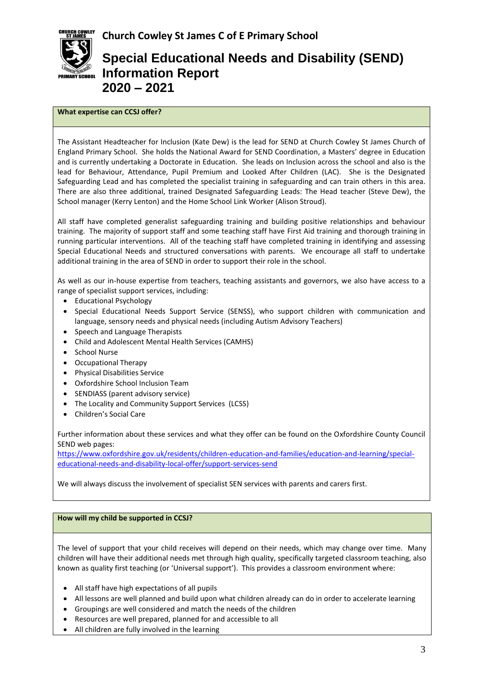

# **Special Educational Needs and Disability (SEND) Information Report 2020 – 2021**

## **What expertise can CCSJ offer?**

The Assistant Headteacher for Inclusion (Kate Dew) is the lead for SEND at Church Cowley St James Church of England Primary School. She holds the National Award for SEND Coordination, a Masters' degree in Education and is currently undertaking a Doctorate in Education. She leads on Inclusion across the school and also is the lead for Behaviour, Attendance, Pupil Premium and Looked After Children (LAC). She is the Designated Safeguarding Lead and has completed the specialist training in safeguarding and can train others in this area. There are also three additional, trained Designated Safeguarding Leads: The Head teacher (Steve Dew), the School manager (Kerry Lenton) and the Home School Link Worker (Alison Stroud).

All staff have completed generalist safeguarding training and building positive relationships and behaviour training. The majority of support staff and some teaching staff have First Aid training and thorough training in running particular interventions. All of the teaching staff have completed training in identifying and assessing Special Educational Needs and structured conversations with parents. We encourage all staff to undertake additional training in the area of SEND in order to support their role in the school.

As well as our in-house expertise from teachers, teaching assistants and governors, we also have access to a range of specialist support services, including:

- Educational Psychology
- Special Educational Needs Support Service (SENSS), who support children with communication and language, sensory needs and physical needs (including Autism Advisory Teachers)
- Speech and Language Therapists
- Child and Adolescent Mental Health Services (CAMHS)
- School Nurse
- Occupational Therapy
- Physical Disabilities Service
- Oxfordshire School Inclusion Team
- SENDIASS (parent advisory service)
- The Locality and Community Support Services (LCSS)
- Children's Social Care

Further information about these services and what they offer can be found on the Oxfordshire County Council SEND web pages:

[https://www.oxfordshire.gov.uk/residents/children-education-and-families/education-and-learning/special](https://www.oxfordshire.gov.uk/residents/children-education-and-families/education-and-learning/special-educational-needs-and-disability-local-offer/support-services-send)[educational-needs-and-disability-local-offer/support-services-send](https://www.oxfordshire.gov.uk/residents/children-education-and-families/education-and-learning/special-educational-needs-and-disability-local-offer/support-services-send)

We will always discuss the involvement of specialist SEN services with parents and carers first.

### **How will my child be supported in CCSJ?**

The level of support that your child receives will depend on their needs, which may change over time. Many children will have their additional needs met through high quality, specifically targeted classroom teaching, also known as quality first teaching (or 'Universal support'). This provides a classroom environment where:

- All staff have high expectations of all pupils
- All lessons are well planned and build upon what children already can do in order to accelerate learning
- Groupings are well considered and match the needs of the children
- Resources are well prepared, planned for and accessible to all
- All children are fully involved in the learning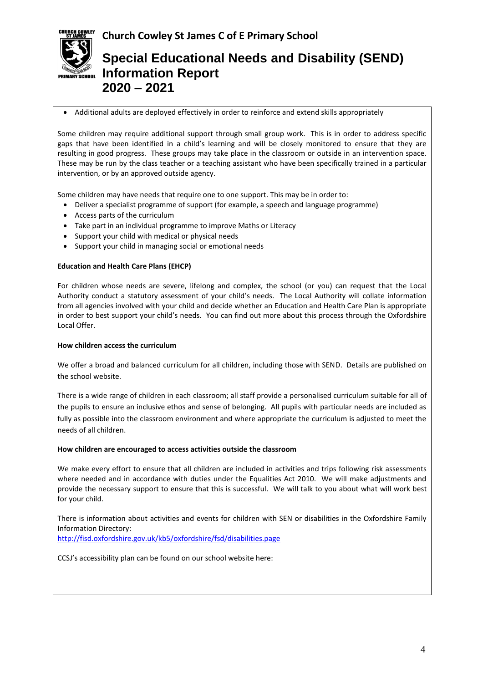

# **Special Educational Needs and Disability (SEND) Information Report 2020 – 2021**

#### Additional adults are deployed effectively in order to reinforce and extend skills appropriately

Some children may require additional support through small group work. This is in order to address specific gaps that have been identified in a child's learning and will be closely monitored to ensure that they are resulting in good progress. These groups may take place in the classroom or outside in an intervention space. These may be run by the class teacher or a teaching assistant who have been specifically trained in a particular intervention, or by an approved outside agency.

Some children may have needs that require one to one support. This may be in order to:

- Deliver a specialist programme of support (for example, a speech and language programme)
- Access parts of the curriculum
- Take part in an individual programme to improve Maths or Literacy
- Support your child with medical or physical needs
- Support your child in managing social or emotional needs

### **Education and Health Care Plans (EHCP)**

For children whose needs are severe, lifelong and complex, the school (or you) can request that the Local Authority conduct a statutory assessment of your child's needs. The Local Authority will collate information from all agencies involved with your child and decide whether an Education and Health Care Plan is appropriate in order to best support your child's needs. You can find out more about this process through the Oxfordshire Local Offer.

#### **How children access the curriculum**

We offer a broad and balanced curriculum for all children, including those with SEND. Details are published on the school website.

There is a wide range of children in each classroom; all staff provide a personalised curriculum suitable for all of the pupils to ensure an inclusive ethos and sense of belonging. All pupils with particular needs are included as fully as possible into the classroom environment and where appropriate the curriculum is adjusted to meet the needs of all children.

#### **How children are encouraged to access activities outside the classroom**

We make every effort to ensure that all children are included in activities and trips following risk assessments where needed and in accordance with duties under the Equalities Act 2010. We will make adjustments and provide the necessary support to ensure that this is successful. We will talk to you about what will work best for your child.

There is information about activities and events for children with SEN or disabilities in the Oxfordshire Family Information Directory: <http://fisd.oxfordshire.gov.uk/kb5/oxfordshire/fsd/disabilities.page>

CCSJ's accessibility plan can be found on our school website here: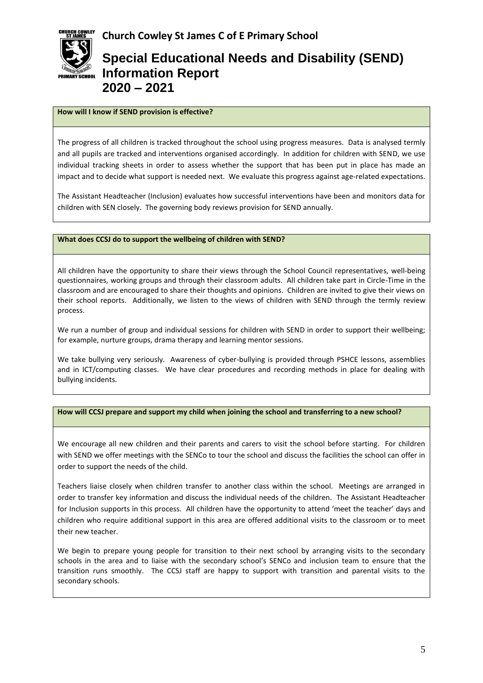

# **Special Educational Needs and Disability (SEND) Information Report 2020 – 2021**

# **How will I know if SEND provision is effective?**

The progress of all children is tracked throughout the school using progress measures. Data is analysed termly and all pupils are tracked and interventions organised accordingly. In addition for children with SEND, we use individual tracking sheets in order to assess whether the support that has been put in place has made an impact and to decide what support is needed next. We evaluate this progress against age-related expectations.

The Assistant Headteacher (Inclusion) evaluates how successful interventions have been and monitors data for children with SEN closely. The governing body reviews provision for SEND annually.

## **What does CCSJ do to support the wellbeing of children with SEND?**

All children have the opportunity to share their views through the School Council representatives, well-being questionnaires, working groups and through their classroom adults. All children take part in Circle-Time in the classroom and are encouraged to share their thoughts and opinions. Children are invited to give their views on their school reports. Additionally, we listen to the views of children with SEND through the termly review process.

We run a number of group and individual sessions for children with SEND in order to support their wellbeing; for example, nurture groups, drama therapy and learning mentor sessions.

We take bullying very seriously. Awareness of cyber-bullying is provided through PSHCE lessons, assemblies and in ICT/computing classes. We have clear procedures and recording methods in place for dealing with bullying incidents.

### **How will CCSJ prepare and support my child when joining the school and transferring to a new school?**

We encourage all new children and their parents and carers to visit the school before starting. For children with SEND we offer meetings with the SENCo to tour the school and discuss the facilities the school can offer in order to support the needs of the child.

Teachers liaise closely when children transfer to another class within the school. Meetings are arranged in order to transfer key information and discuss the individual needs of the children. The Assistant Headteacher for Inclusion supports in this process. All children have the opportunity to attend 'meet the teacher' days and children who require additional support in this area are offered additional visits to the classroom or to meet their new teacher.

We begin to prepare young people for transition to their next school by arranging visits to the secondary schools in the area and to liaise with the secondary school's SENCo and inclusion team to ensure that the transition runs smoothly. The CCSJ staff are happy to support with transition and parental visits to the secondary schools.